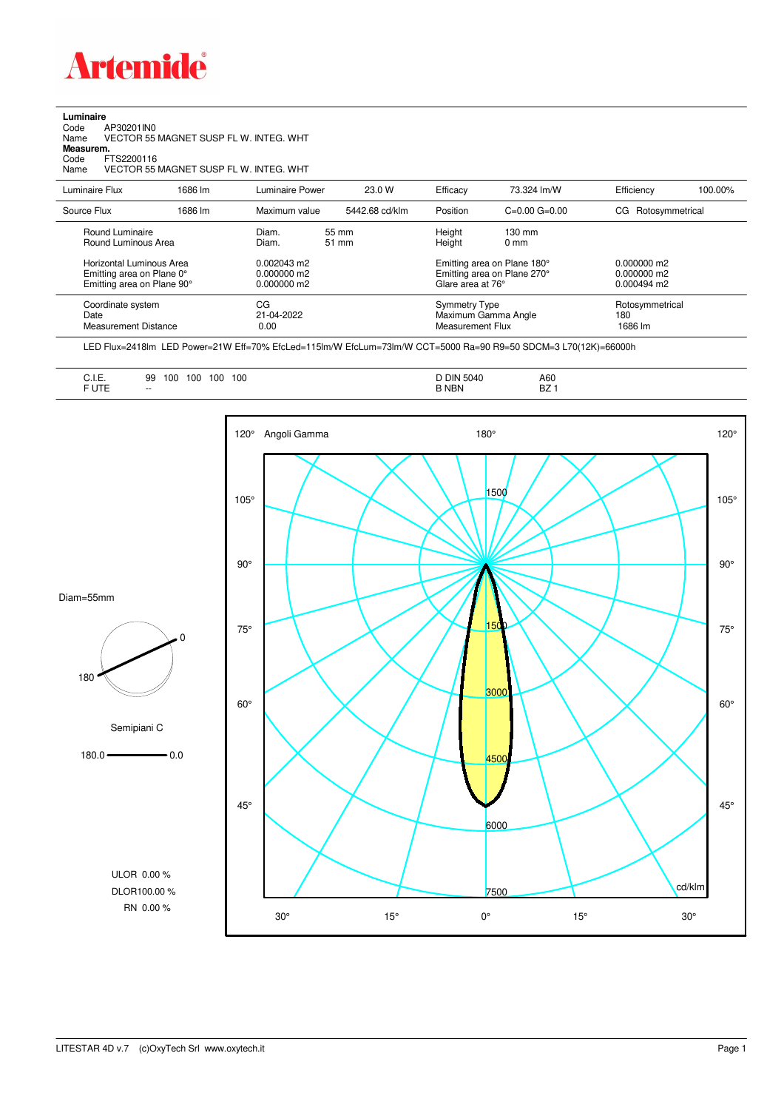

**Luminaire**<br>Code<br>Name Code AP30201IN0 Name VECTOR 55 MAGNET SUSP FL W. INTEG. WHT

**Measurem.**

Code FTS2200116<br>Name VECTOR 551 Name VECTOR 55 MAGNET SUSP FL W. INTEG. WHT

| Luminaire Flux                                                                                                                | 1686 lm | Luminaire Power                                                   | 23.0 W         | Efficacy                                 | 73.324 lm/W                                                                                      | Efficiency                                             | 100.00% |
|-------------------------------------------------------------------------------------------------------------------------------|---------|-------------------------------------------------------------------|----------------|------------------------------------------|--------------------------------------------------------------------------------------------------|--------------------------------------------------------|---------|
| Source Flux                                                                                                                   | 1686 lm | Maximum value                                                     | 5442.68 cd/klm | Position                                 | $C=0.00$ $G=0.00$                                                                                | Rotosymmetrical<br>CG.                                 |         |
| Round Luminaire<br>Round Luminous Area<br>Horizontal Luminous Area<br>Emitting area on Plane 0°<br>Emitting area on Plane 90° |         | Diam.<br>Diam.<br>$0.002043$ m2<br>$0.000000$ m2<br>$0.000000$ m2 | 55 mm<br>51 mm | Height<br>Height<br>Glare area at 76°    | $130 \text{ mm}$<br>$0 \text{ mm}$<br>Emitting area on Plane 180°<br>Emitting area on Plane 270° | $0.000000$ m2<br>$0.000000$ m2<br>$0.000494 \text{ m}$ |         |
| Coordinate system<br>Date<br>Measurement Distance                                                                             |         | CG<br>21-04-2022<br>0.00                                          |                | Symmetry Type<br><b>Measurement Flux</b> | Maximum Gamma Angle                                                                              | Rotosymmetrical<br>180<br>1686 lm                      |         |

LED Flux=2418lm LED Power=21W Eff=70% EfcLed=115lm/W EfcLum=73lm/W CCT=5000 Ra=90 R9=50 SDCM=3 L70(12K)=66000h